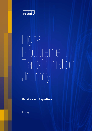

## Digital Procurement Transformation Journey

**Services and Expertises**

kpmg.fr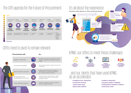### The CPO agenda for the Future of Procurement



### CPO's need to pivot to remain relevant CPO's need to pivot to remain relevant





# KPMG: OUR Offers to meet these challenges







**PROCUREMENT PROCUREMENT & INSIGHT & INSIGHT ANALYTICS ANALYTICS**



**SUPPLIER SUPPLIER & CUSTOMER & CUSTOMER CENTRIC CENTRIC**

### ...and our clients that have used KPMG as an accelerator as an accelerator

- • **PHARMACEUTICAL LABORATORY** • **PHARMACEUTICAL LABORATORY**
- • **AUTOMOTIVE SUPPLIER** • **AUTOMOTIVE SUPPLIER**
- • **LARGE GLOBAL BANK** • **LARGE GLOBAL BANK**
- **MEDIA & WEB COMPANY MEDIA & WEB COMPANY**
- • **COSMETIC LABORATORY** • **COSMETIC LABORATORY**
- • **BUILDING & ENERGY COMPANIES** • **BUILDING & ENERGY COMPANIES**
- • **INTERNATIONAL TRANSPORT COMPANY** • **INTERNATIONAL TRANSPORT COMPANY**
- **LARGE RETAIL CHAIN LARGE RETAIL CHAIN**